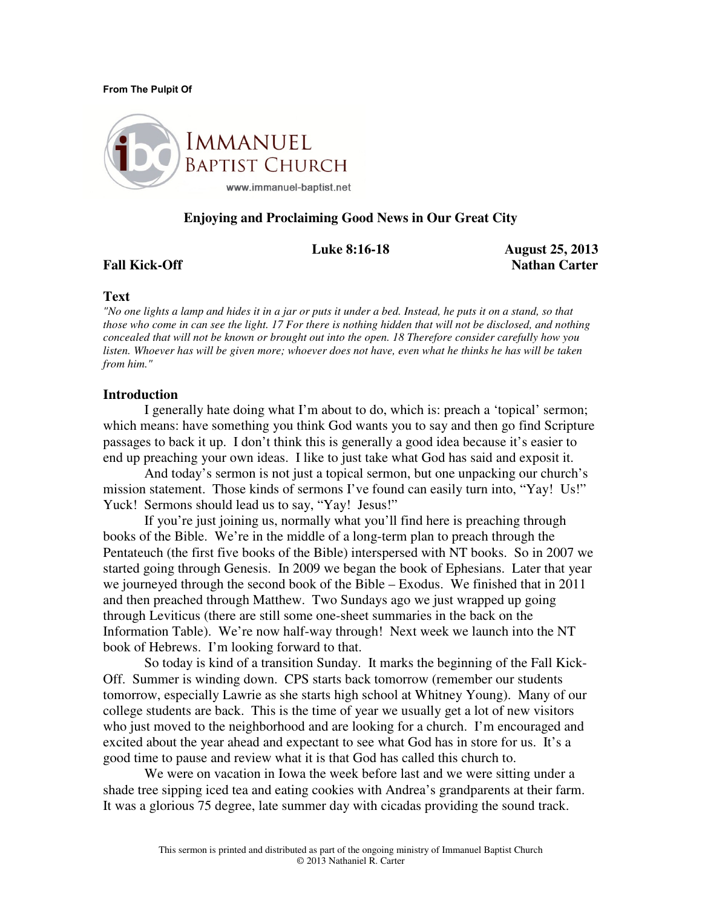#### From The Pulpit Of



# **Enjoying and Proclaiming Good News in Our Great City**

 **Luke 8:16-18 August 25, 2013 Fall Kick-Off** Nathan Carter **Nathan Carter** Nathan Carter **Nathan Carter** 1

## **Text**

*"No one lights a lamp and hides it in a jar or puts it under a bed. Instead, he puts it on a stand, so that those who come in can see the light. 17 For there is nothing hidden that will not be disclosed, and nothing concealed that will not be known or brought out into the open. 18 Therefore consider carefully how you listen. Whoever has will be given more; whoever does not have, even what he thinks he has will be taken from him."* 

## **Introduction**

 I generally hate doing what I'm about to do, which is: preach a 'topical' sermon; which means: have something you think God wants you to say and then go find Scripture passages to back it up. I don't think this is generally a good idea because it's easier to end up preaching your own ideas. I like to just take what God has said and exposit it.

And today's sermon is not just a topical sermon, but one unpacking our church's mission statement. Those kinds of sermons I've found can easily turn into, "Yay! Us!" Yuck! Sermons should lead us to say, "Yay! Jesus!"

If you're just joining us, normally what you'll find here is preaching through books of the Bible. We're in the middle of a long-term plan to preach through the Pentateuch (the first five books of the Bible) interspersed with NT books. So in 2007 we started going through Genesis. In 2009 we began the book of Ephesians. Later that year we journeyed through the second book of the Bible – Exodus. We finished that in 2011 and then preached through Matthew. Two Sundays ago we just wrapped up going through Leviticus (there are still some one-sheet summaries in the back on the Information Table). We're now half-way through! Next week we launch into the NT book of Hebrews. I'm looking forward to that.

 So today is kind of a transition Sunday. It marks the beginning of the Fall Kick-Off. Summer is winding down. CPS starts back tomorrow (remember our students tomorrow, especially Lawrie as she starts high school at Whitney Young). Many of our college students are back. This is the time of year we usually get a lot of new visitors who just moved to the neighborhood and are looking for a church. I'm encouraged and excited about the year ahead and expectant to see what God has in store for us. It's a good time to pause and review what it is that God has called this church to.

We were on vacation in Iowa the week before last and we were sitting under a shade tree sipping iced tea and eating cookies with Andrea's grandparents at their farm. It was a glorious 75 degree, late summer day with cicadas providing the sound track.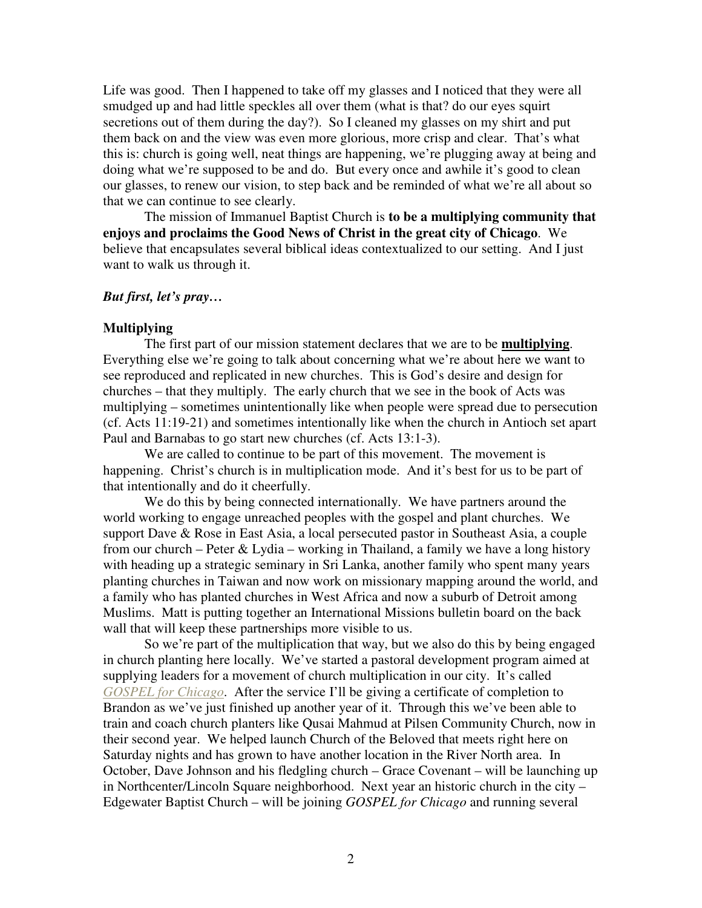Life was good. Then I happened to take off my glasses and I noticed that they were all smudged up and had little speckles all over them (what is that? do our eyes squirt secretions out of them during the day?). So I cleaned my glasses on my shirt and put them back on and the view was even more glorious, more crisp and clear. That's what this is: church is going well, neat things are happening, we're plugging away at being and doing what we're supposed to be and do. But every once and awhile it's good to clean our glasses, to renew our vision, to step back and be reminded of what we're all about so that we can continue to see clearly.

The mission of Immanuel Baptist Church is **to be a multiplying community that enjoys and proclaims the Good News of Christ in the great city of Chicago**. We believe that encapsulates several biblical ideas contextualized to our setting. And I just want to walk us through it.

# *But first, let's pray…*

# **Multiplying**

The first part of our mission statement declares that we are to be **multiplying**. Everything else we're going to talk about concerning what we're about here we want to see reproduced and replicated in new churches. This is God's desire and design for churches – that they multiply. The early church that we see in the book of Acts was multiplying – sometimes unintentionally like when people were spread due to persecution (cf. Acts 11:19-21) and sometimes intentionally like when the church in Antioch set apart Paul and Barnabas to go start new churches (cf. Acts 13:1-3).

 We are called to continue to be part of this movement. The movement is happening. Christ's church is in multiplication mode. And it's best for us to be part of that intentionally and do it cheerfully.

We do this by being connected internationally. We have partners around the world working to engage unreached peoples with the gospel and plant churches. We support Dave & Rose in East Asia, a local persecuted pastor in Southeast Asia, a couple from our church – Peter  $& Lydia$  – working in Thailand, a family we have a long history with heading up a strategic seminary in Sri Lanka, another family who spent many years planting churches in Taiwan and now work on missionary mapping around the world, and a family who has planted churches in West Africa and now a suburb of Detroit among Muslims. Matt is putting together an International Missions bulletin board on the back wall that will keep these partnerships more visible to us.

So we're part of the multiplication that way, but we also do this by being engaged in church planting here locally. We've started a pastoral development program aimed at supplying leaders for a movement of church multiplication in our city. It's called *GOSPEL for Chicago*. After the service I'll be giving a certificate of completion to Brandon as we've just finished up another year of it. Through this we've been able to train and coach church planters like Qusai Mahmud at Pilsen Community Church, now in their second year. We helped launch Church of the Beloved that meets right here on Saturday nights and has grown to have another location in the River North area. In October, Dave Johnson and his fledgling church – Grace Covenant – will be launching up in Northcenter/Lincoln Square neighborhood. Next year an historic church in the city – Edgewater Baptist Church – will be joining *GOSPEL for Chicago* and running several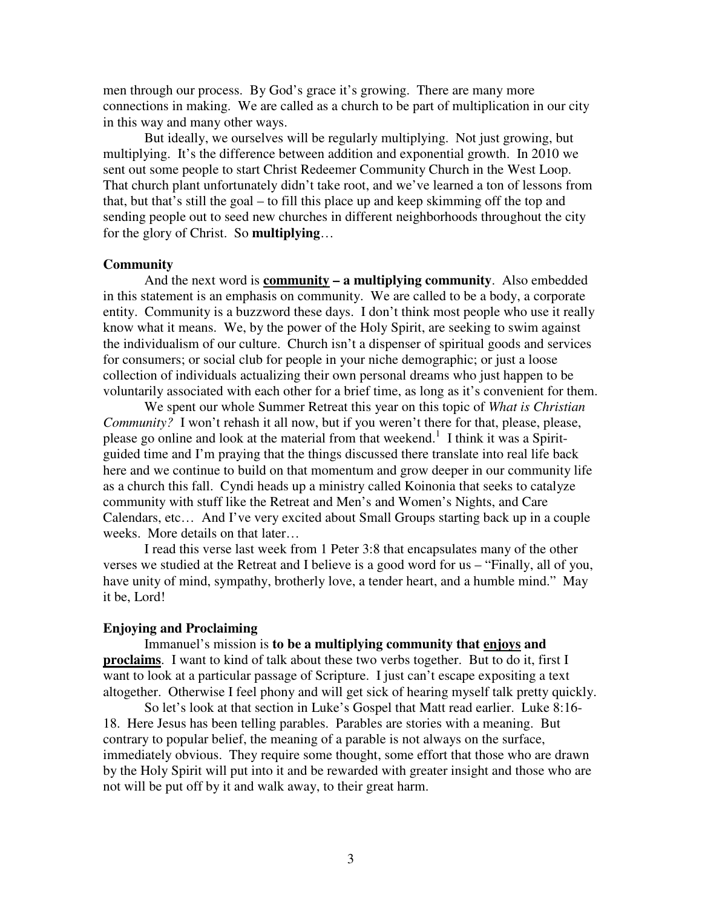men through our process. By God's grace it's growing. There are many more connections in making. We are called as a church to be part of multiplication in our city in this way and many other ways.

But ideally, we ourselves will be regularly multiplying. Not just growing, but multiplying. It's the difference between addition and exponential growth. In 2010 we sent out some people to start Christ Redeemer Community Church in the West Loop. That church plant unfortunately didn't take root, and we've learned a ton of lessons from that, but that's still the goal – to fill this place up and keep skimming off the top and sending people out to seed new churches in different neighborhoods throughout the city for the glory of Christ. So **multiplying**…

## **Community**

 And the next word is **community – a multiplying community**. Also embedded in this statement is an emphasis on community. We are called to be a body, a corporate entity. Community is a buzzword these days. I don't think most people who use it really know what it means. We, by the power of the Holy Spirit, are seeking to swim against the individualism of our culture. Church isn't a dispenser of spiritual goods and services for consumers; or social club for people in your niche demographic; or just a loose collection of individuals actualizing their own personal dreams who just happen to be voluntarily associated with each other for a brief time, as long as it's convenient for them.

 We spent our whole Summer Retreat this year on this topic of *What is Christian Community?* I won't rehash it all now, but if you weren't there for that, please, please, please go online and look at the material from that weekend.<sup>1</sup> I think it was a Spiritguided time and I'm praying that the things discussed there translate into real life back here and we continue to build on that momentum and grow deeper in our community life as a church this fall. Cyndi heads up a ministry called Koinonia that seeks to catalyze community with stuff like the Retreat and Men's and Women's Nights, and Care Calendars, etc… And I've very excited about Small Groups starting back up in a couple weeks. More details on that later…

 I read this verse last week from 1 Peter 3:8 that encapsulates many of the other verses we studied at the Retreat and I believe is a good word for us – "Finally, all of you, have unity of mind, sympathy, brotherly love, a tender heart, and a humble mind." May it be, Lord!

## **Enjoying and Proclaiming**

 Immanuel's mission is **to be a multiplying community that enjoys and proclaims**. I want to kind of talk about these two verbs together. But to do it, first I want to look at a particular passage of Scripture. I just can't escape expositing a text altogether. Otherwise I feel phony and will get sick of hearing myself talk pretty quickly.

So let's look at that section in Luke's Gospel that Matt read earlier. Luke 8:16- 18. Here Jesus has been telling parables. Parables are stories with a meaning. But contrary to popular belief, the meaning of a parable is not always on the surface, immediately obvious. They require some thought, some effort that those who are drawn by the Holy Spirit will put into it and be rewarded with greater insight and those who are not will be put off by it and walk away, to their great harm.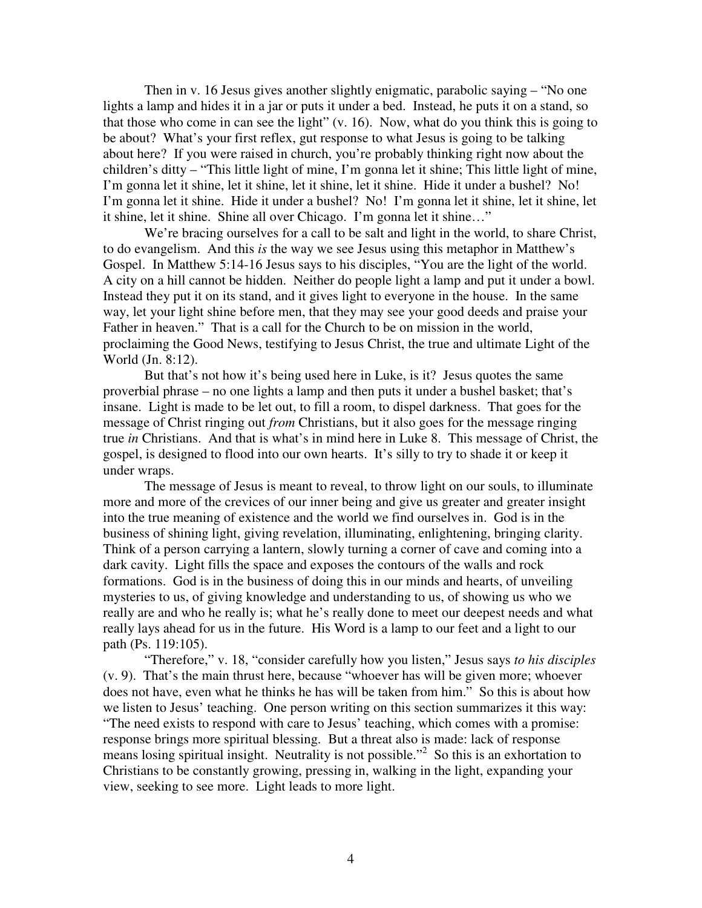Then in v. 16 Jesus gives another slightly enigmatic, parabolic saying – "No one lights a lamp and hides it in a jar or puts it under a bed. Instead, he puts it on a stand, so that those who come in can see the light" (v. 16). Now, what do you think this is going to be about? What's your first reflex, gut response to what Jesus is going to be talking about here? If you were raised in church, you're probably thinking right now about the children's ditty – "This little light of mine, I'm gonna let it shine; This little light of mine, I'm gonna let it shine, let it shine, let it shine, let it shine. Hide it under a bushel? No! I'm gonna let it shine. Hide it under a bushel? No! I'm gonna let it shine, let it shine, let it shine, let it shine. Shine all over Chicago. I'm gonna let it shine…"

We're bracing ourselves for a call to be salt and light in the world, to share Christ, to do evangelism. And this *is* the way we see Jesus using this metaphor in Matthew's Gospel. In Matthew 5:14-16 Jesus says to his disciples, "You are the light of the world. A city on a hill cannot be hidden. Neither do people light a lamp and put it under a bowl. Instead they put it on its stand, and it gives light to everyone in the house. In the same way, let your light shine before men, that they may see your good deeds and praise your Father in heaven." That is a call for the Church to be on mission in the world, proclaiming the Good News, testifying to Jesus Christ, the true and ultimate Light of the World (Jn. 8:12).

 But that's not how it's being used here in Luke, is it? Jesus quotes the same proverbial phrase – no one lights a lamp and then puts it under a bushel basket; that's insane. Light is made to be let out, to fill a room, to dispel darkness. That goes for the message of Christ ringing out *from* Christians, but it also goes for the message ringing true *in* Christians. And that is what's in mind here in Luke 8. This message of Christ, the gospel, is designed to flood into our own hearts. It's silly to try to shade it or keep it under wraps.

 The message of Jesus is meant to reveal, to throw light on our souls, to illuminate more and more of the crevices of our inner being and give us greater and greater insight into the true meaning of existence and the world we find ourselves in. God is in the business of shining light, giving revelation, illuminating, enlightening, bringing clarity. Think of a person carrying a lantern, slowly turning a corner of cave and coming into a dark cavity. Light fills the space and exposes the contours of the walls and rock formations. God is in the business of doing this in our minds and hearts, of unveiling mysteries to us, of giving knowledge and understanding to us, of showing us who we really are and who he really is; what he's really done to meet our deepest needs and what really lays ahead for us in the future. His Word is a lamp to our feet and a light to our path (Ps. 119:105).

 "Therefore," v. 18, "consider carefully how you listen," Jesus says *to his disciples* (v. 9). That's the main thrust here, because "whoever has will be given more; whoever does not have, even what he thinks he has will be taken from him." So this is about how we listen to Jesus' teaching. One person writing on this section summarizes it this way: "The need exists to respond with care to Jesus' teaching, which comes with a promise: response brings more spiritual blessing. But a threat also is made: lack of response means losing spiritual insight. Neutrality is not possible."<sup>2</sup> So this is an exhortation to Christians to be constantly growing, pressing in, walking in the light, expanding your view, seeking to see more. Light leads to more light.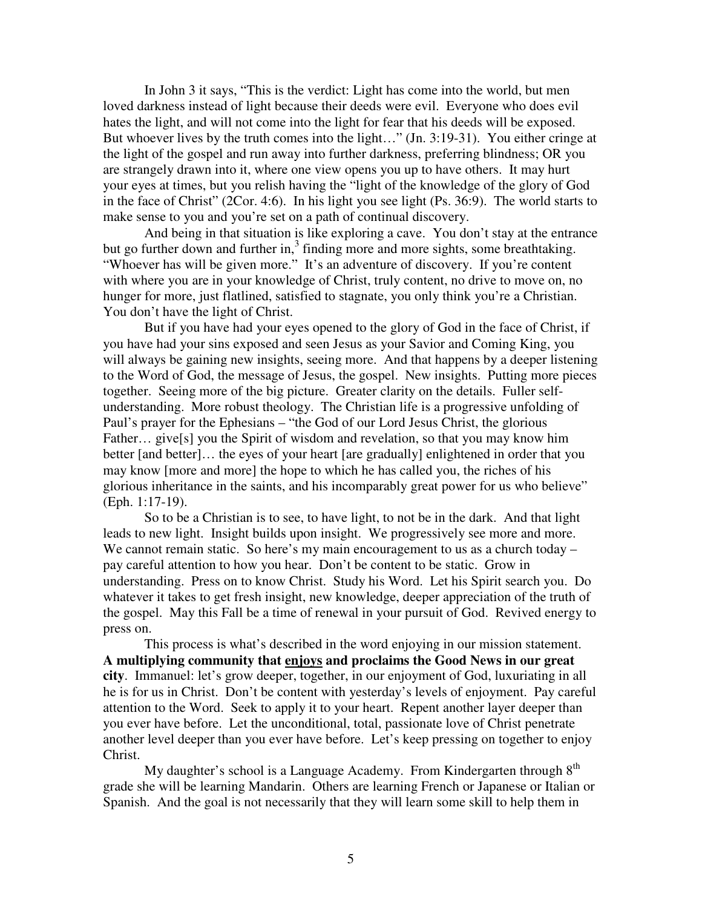In John 3 it says, "This is the verdict: Light has come into the world, but men loved darkness instead of light because their deeds were evil. Everyone who does evil hates the light, and will not come into the light for fear that his deeds will be exposed. But whoever lives by the truth comes into the light…" (Jn. 3:19-31). You either cringe at the light of the gospel and run away into further darkness, preferring blindness; OR you are strangely drawn into it, where one view opens you up to have others. It may hurt your eyes at times, but you relish having the "light of the knowledge of the glory of God in the face of Christ" (2Cor. 4:6). In his light you see light (Ps. 36:9). The world starts to make sense to you and you're set on a path of continual discovery.

 And being in that situation is like exploring a cave. You don't stay at the entrance but go further down and further in,<sup>3</sup> finding more and more sights, some breathtaking. "Whoever has will be given more." It's an adventure of discovery. If you're content with where you are in your knowledge of Christ, truly content, no drive to move on, no hunger for more, just flatlined, satisfied to stagnate, you only think you're a Christian. You don't have the light of Christ.

But if you have had your eyes opened to the glory of God in the face of Christ, if you have had your sins exposed and seen Jesus as your Savior and Coming King, you will always be gaining new insights, seeing more. And that happens by a deeper listening to the Word of God, the message of Jesus, the gospel. New insights. Putting more pieces together. Seeing more of the big picture. Greater clarity on the details. Fuller selfunderstanding. More robust theology. The Christian life is a progressive unfolding of Paul's prayer for the Ephesians – "the God of our Lord Jesus Christ, the glorious Father… give[s] you the Spirit of wisdom and revelation, so that you may know him better [and better]… the eyes of your heart [are gradually] enlightened in order that you may know [more and more] the hope to which he has called you, the riches of his glorious inheritance in the saints, and his incomparably great power for us who believe" (Eph. 1:17-19).

So to be a Christian is to see, to have light, to not be in the dark. And that light leads to new light. Insight builds upon insight. We progressively see more and more. We cannot remain static. So here's my main encouragement to us as a church today – pay careful attention to how you hear. Don't be content to be static. Grow in understanding. Press on to know Christ. Study his Word. Let his Spirit search you. Do whatever it takes to get fresh insight, new knowledge, deeper appreciation of the truth of the gospel. May this Fall be a time of renewal in your pursuit of God. Revived energy to press on.

This process is what's described in the word enjoying in our mission statement. **A multiplying community that enjoys and proclaims the Good News in our great city**. Immanuel: let's grow deeper, together, in our enjoyment of God, luxuriating in all he is for us in Christ. Don't be content with yesterday's levels of enjoyment. Pay careful attention to the Word. Seek to apply it to your heart. Repent another layer deeper than you ever have before. Let the unconditional, total, passionate love of Christ penetrate another level deeper than you ever have before. Let's keep pressing on together to enjoy Christ.

My daughter's school is a Language Academy. From Kindergarten through  $8<sup>th</sup>$ grade she will be learning Mandarin. Others are learning French or Japanese or Italian or Spanish. And the goal is not necessarily that they will learn some skill to help them in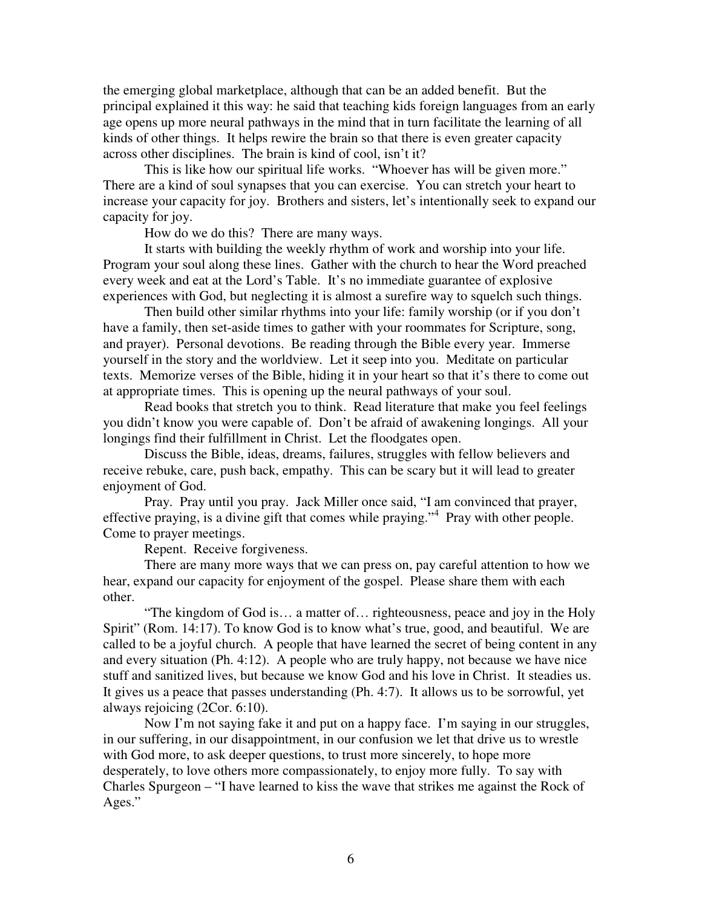the emerging global marketplace, although that can be an added benefit. But the principal explained it this way: he said that teaching kids foreign languages from an early age opens up more neural pathways in the mind that in turn facilitate the learning of all kinds of other things. It helps rewire the brain so that there is even greater capacity across other disciplines. The brain is kind of cool, isn't it?

This is like how our spiritual life works. "Whoever has will be given more." There are a kind of soul synapses that you can exercise. You can stretch your heart to increase your capacity for joy. Brothers and sisters, let's intentionally seek to expand our capacity for joy.

How do we do this? There are many ways.

It starts with building the weekly rhythm of work and worship into your life. Program your soul along these lines. Gather with the church to hear the Word preached every week and eat at the Lord's Table. It's no immediate guarantee of explosive experiences with God, but neglecting it is almost a surefire way to squelch such things.

Then build other similar rhythms into your life: family worship (or if you don't have a family, then set-aside times to gather with your roommates for Scripture, song, and prayer). Personal devotions. Be reading through the Bible every year. Immerse yourself in the story and the worldview. Let it seep into you. Meditate on particular texts. Memorize verses of the Bible, hiding it in your heart so that it's there to come out at appropriate times. This is opening up the neural pathways of your soul.

Read books that stretch you to think. Read literature that make you feel feelings you didn't know you were capable of. Don't be afraid of awakening longings. All your longings find their fulfillment in Christ. Let the floodgates open.

Discuss the Bible, ideas, dreams, failures, struggles with fellow believers and receive rebuke, care, push back, empathy. This can be scary but it will lead to greater enjoyment of God.

Pray. Pray until you pray. Jack Miller once said, "I am convinced that prayer, effective praying, is a divine gift that comes while praying."<sup>4</sup> Pray with other people. Come to prayer meetings.

Repent. Receive forgiveness.

There are many more ways that we can press on, pay careful attention to how we hear, expand our capacity for enjoyment of the gospel. Please share them with each other.

 "The kingdom of God is… a matter of… righteousness, peace and joy in the Holy Spirit" (Rom. 14:17). To know God is to know what's true, good, and beautiful. We are called to be a joyful church. A people that have learned the secret of being content in any and every situation (Ph. 4:12). A people who are truly happy, not because we have nice stuff and sanitized lives, but because we know God and his love in Christ. It steadies us. It gives us a peace that passes understanding (Ph. 4:7). It allows us to be sorrowful, yet always rejoicing (2Cor. 6:10).

 Now I'm not saying fake it and put on a happy face. I'm saying in our struggles, in our suffering, in our disappointment, in our confusion we let that drive us to wrestle with God more, to ask deeper questions, to trust more sincerely, to hope more desperately, to love others more compassionately, to enjoy more fully. To say with Charles Spurgeon – "I have learned to kiss the wave that strikes me against the Rock of Ages."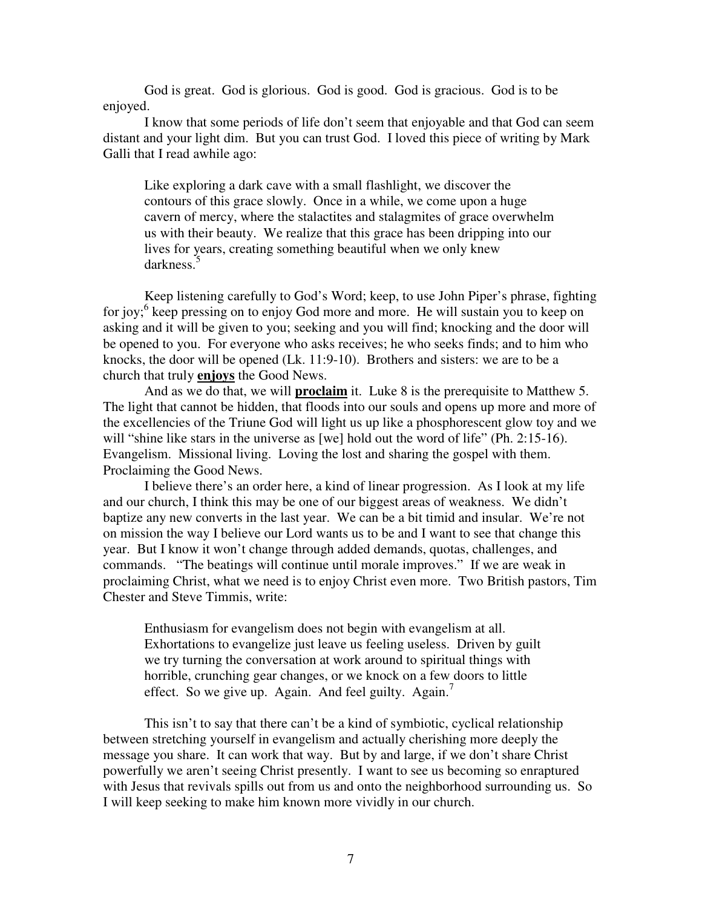God is great. God is glorious. God is good. God is gracious. God is to be enjoyed.

I know that some periods of life don't seem that enjoyable and that God can seem distant and your light dim. But you can trust God. I loved this piece of writing by Mark Galli that I read awhile ago:

Like exploring a dark cave with a small flashlight, we discover the contours of this grace slowly. Once in a while, we come upon a huge cavern of mercy, where the stalactites and stalagmites of grace overwhelm us with their beauty. We realize that this grace has been dripping into our lives for years, creating something beautiful when we only knew darkness.<sup>5</sup>

Keep listening carefully to God's Word; keep, to use John Piper's phrase, fighting for joy;<sup>6</sup> keep pressing on to enjoy God more and more. He will sustain you to keep on asking and it will be given to you; seeking and you will find; knocking and the door will be opened to you. For everyone who asks receives; he who seeks finds; and to him who knocks, the door will be opened (Lk. 11:9-10). Brothers and sisters: we are to be a church that truly **enjoys** the Good News.

And as we do that, we will **proclaim** it. Luke 8 is the prerequisite to Matthew 5. The light that cannot be hidden, that floods into our souls and opens up more and more of the excellencies of the Triune God will light us up like a phosphorescent glow toy and we will "shine like stars in the universe as [we] hold out the word of life" (Ph. 2:15-16). Evangelism. Missional living. Loving the lost and sharing the gospel with them. Proclaiming the Good News.

I believe there's an order here, a kind of linear progression. As I look at my life and our church, I think this may be one of our biggest areas of weakness. We didn't baptize any new converts in the last year. We can be a bit timid and insular. We're not on mission the way I believe our Lord wants us to be and I want to see that change this year. But I know it won't change through added demands, quotas, challenges, and commands. "The beatings will continue until morale improves." If we are weak in proclaiming Christ, what we need is to enjoy Christ even more. Two British pastors, Tim Chester and Steve Timmis, write:

Enthusiasm for evangelism does not begin with evangelism at all. Exhortations to evangelize just leave us feeling useless. Driven by guilt we try turning the conversation at work around to spiritual things with horrible, crunching gear changes, or we knock on a few doors to little effect. So we give up. Again. And feel guilty. Again.

This isn't to say that there can't be a kind of symbiotic, cyclical relationship between stretching yourself in evangelism and actually cherishing more deeply the message you share. It can work that way. But by and large, if we don't share Christ powerfully we aren't seeing Christ presently. I want to see us becoming so enraptured with Jesus that revivals spills out from us and onto the neighborhood surrounding us. So I will keep seeking to make him known more vividly in our church.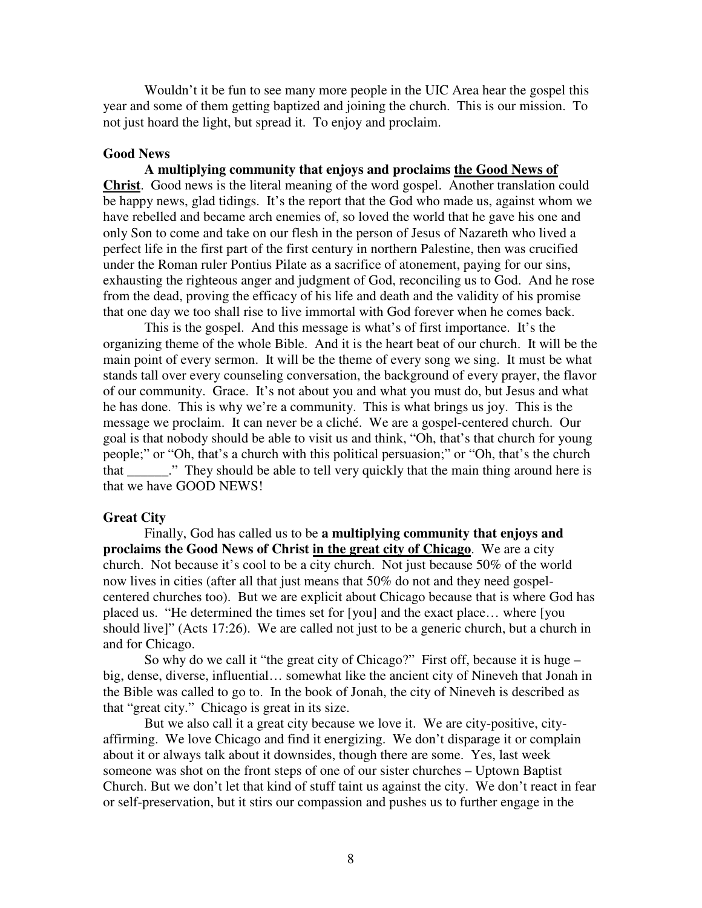Wouldn't it be fun to see many more people in the UIC Area hear the gospel this year and some of them getting baptized and joining the church. This is our mission. To not just hoard the light, but spread it. To enjoy and proclaim.

### **Good News**

**A multiplying community that enjoys and proclaims the Good News of Christ**. Good news is the literal meaning of the word gospel. Another translation could be happy news, glad tidings. It's the report that the God who made us, against whom we have rebelled and became arch enemies of, so loved the world that he gave his one and only Son to come and take on our flesh in the person of Jesus of Nazareth who lived a perfect life in the first part of the first century in northern Palestine, then was crucified under the Roman ruler Pontius Pilate as a sacrifice of atonement, paying for our sins, exhausting the righteous anger and judgment of God, reconciling us to God. And he rose from the dead, proving the efficacy of his life and death and the validity of his promise that one day we too shall rise to live immortal with God forever when he comes back.

This is the gospel. And this message is what's of first importance. It's the organizing theme of the whole Bible. And it is the heart beat of our church. It will be the main point of every sermon. It will be the theme of every song we sing. It must be what stands tall over every counseling conversation, the background of every prayer, the flavor of our community. Grace. It's not about you and what you must do, but Jesus and what he has done. This is why we're a community. This is what brings us joy. This is the message we proclaim. It can never be a cliché. We are a gospel-centered church. Our goal is that nobody should be able to visit us and think, "Oh, that's that church for young people;" or "Oh, that's a church with this political persuasion;" or "Oh, that's the church that They should be able to tell very quickly that the main thing around here is that we have GOOD NEWS!

## **Great City**

 Finally, God has called us to be **a multiplying community that enjoys and proclaims the Good News of Christ in the great city of Chicago**. We are a city church. Not because it's cool to be a city church. Not just because 50% of the world now lives in cities (after all that just means that 50% do not and they need gospelcentered churches too). But we are explicit about Chicago because that is where God has placed us. "He determined the times set for [you] and the exact place… where [you should live]" (Acts 17:26). We are called not just to be a generic church, but a church in and for Chicago.

 So why do we call it "the great city of Chicago?" First off, because it is huge – big, dense, diverse, influential… somewhat like the ancient city of Nineveh that Jonah in the Bible was called to go to. In the book of Jonah, the city of Nineveh is described as that "great city." Chicago is great in its size.

 But we also call it a great city because we love it. We are city-positive, cityaffirming. We love Chicago and find it energizing. We don't disparage it or complain about it or always talk about it downsides, though there are some. Yes, last week someone was shot on the front steps of one of our sister churches – Uptown Baptist Church. But we don't let that kind of stuff taint us against the city. We don't react in fear or self-preservation, but it stirs our compassion and pushes us to further engage in the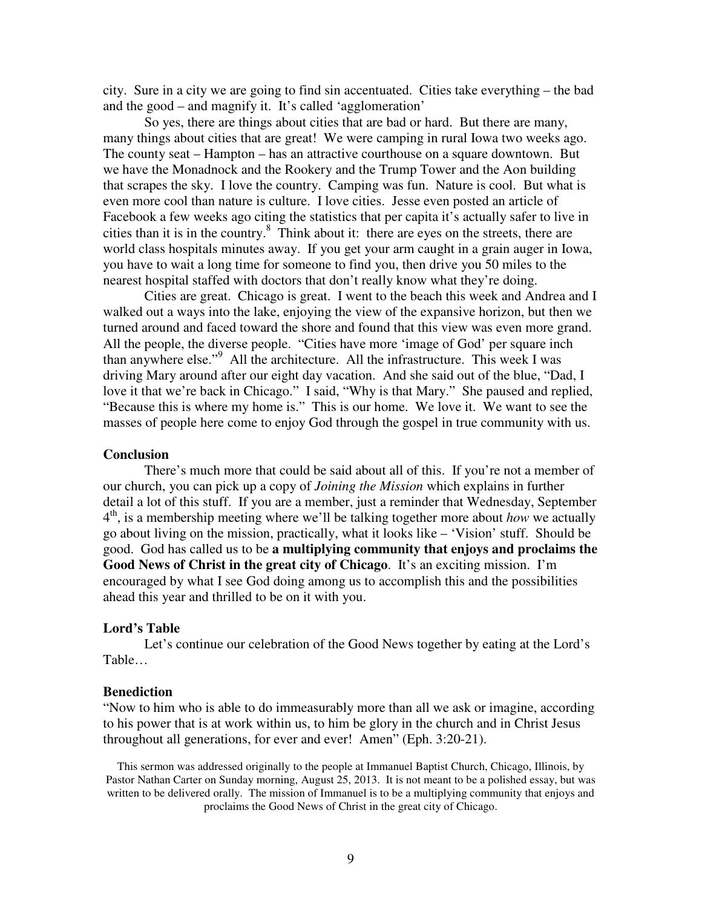city. Sure in a city we are going to find sin accentuated. Cities take everything – the bad and the good – and magnify it. It's called 'agglomeration'

 So yes, there are things about cities that are bad or hard. But there are many, many things about cities that are great! We were camping in rural Iowa two weeks ago. The county seat – Hampton – has an attractive courthouse on a square downtown. But we have the Monadnock and the Rookery and the Trump Tower and the Aon building that scrapes the sky. I love the country. Camping was fun. Nature is cool. But what is even more cool than nature is culture. I love cities. Jesse even posted an article of Facebook a few weeks ago citing the statistics that per capita it's actually safer to live in cities than it is in the country. $8$  Think about it: there are eyes on the streets, there are world class hospitals minutes away. If you get your arm caught in a grain auger in Iowa, you have to wait a long time for someone to find you, then drive you 50 miles to the nearest hospital staffed with doctors that don't really know what they're doing.

Cities are great. Chicago is great. I went to the beach this week and Andrea and I walked out a ways into the lake, enjoying the view of the expansive horizon, but then we turned around and faced toward the shore and found that this view was even more grand. All the people, the diverse people. "Cities have more 'image of God' per square inch than anywhere else."<sup>9</sup> All the architecture. All the infrastructure. This week I was driving Mary around after our eight day vacation. And she said out of the blue, "Dad, I love it that we're back in Chicago." I said, "Why is that Mary." She paused and replied, "Because this is where my home is." This is our home. We love it. We want to see the masses of people here come to enjoy God through the gospel in true community with us.

# **Conclusion**

 There's much more that could be said about all of this. If you're not a member of our church, you can pick up a copy of *Joining the Mission* which explains in further detail a lot of this stuff. If you are a member, just a reminder that Wednesday, September 4 th, is a membership meeting where we'll be talking together more about *how* we actually go about living on the mission, practically, what it looks like – 'Vision' stuff. Should be good. God has called us to be **a multiplying community that enjoys and proclaims the Good News of Christ in the great city of Chicago**. It's an exciting mission. I'm encouraged by what I see God doing among us to accomplish this and the possibilities ahead this year and thrilled to be on it with you.

#### **Lord's Table**

 Let's continue our celebration of the Good News together by eating at the Lord's Table…

#### **Benediction**

"Now to him who is able to do immeasurably more than all we ask or imagine, according to his power that is at work within us, to him be glory in the church and in Christ Jesus throughout all generations, for ever and ever! Amen" (Eph. 3:20-21).

This sermon was addressed originally to the people at Immanuel Baptist Church, Chicago, Illinois, by Pastor Nathan Carter on Sunday morning, August 25, 2013. It is not meant to be a polished essay, but was written to be delivered orally. The mission of Immanuel is to be a multiplying community that enjoys and proclaims the Good News of Christ in the great city of Chicago.